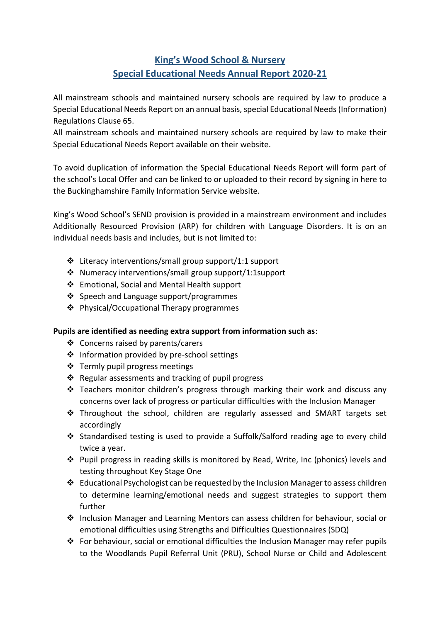# **King's Wood School & Nursery Special Educational Needs Annual Report 2020-21**

All mainstream schools and maintained nursery schools are required by law to produce a Special Educational Needs Report on an annual basis, special Educational Needs (Information) Regulations Clause 65.

All mainstream schools and maintained nursery schools are required by law to make their Special Educational Needs Report available on their website.

To avoid duplication of information the Special Educational Needs Report will form part of the school's Local Offer and can be linked to or uploaded to their record by signing in here to the Buckinghamshire Family Information Service website.

King's Wood School's SEND provision is provided in a mainstream environment and includes Additionally Resourced Provision (ARP) for children with Language Disorders. It is on an individual needs basis and includes, but is not limited to:

- $\cdot$  Literacy interventions/small group support/1:1 support
- Numeracy interventions/small group support/1:1support
- Emotional, Social and Mental Health support
- ❖ Speech and Language support/programmes
- Physical/Occupational Therapy programmes

#### **Pupils are identified as needing extra support from information such as**:

- Concerns raised by parents/carers
- ❖ Information provided by pre-school settings
- ❖ Termly pupil progress meetings
- $\cdot$  Regular assessments and tracking of pupil progress
- $\cdot$  Teachers monitor children's progress through marking their work and discuss any concerns over lack of progress or particular difficulties with the Inclusion Manager
- Throughout the school, children are regularly assessed and SMART targets set accordingly
- Standardised testing is used to provide a Suffolk/Salford reading age to every child twice a year.
- $\cdot \cdot$  Pupil progress in reading skills is monitored by Read, Write, Inc (phonics) levels and testing throughout Key Stage One
- $\div$  Educational Psychologist can be requested by the Inclusion Manager to assess children to determine learning/emotional needs and suggest strategies to support them further
- $\cdot \cdot$  Inclusion Manager and Learning Mentors can assess children for behaviour, social or emotional difficulties using Strengths and Difficulties Questionnaires (SDQ)
- For behaviour, social or emotional difficulties the Inclusion Manager may refer pupils to the Woodlands Pupil Referral Unit (PRU), School Nurse or Child and Adolescent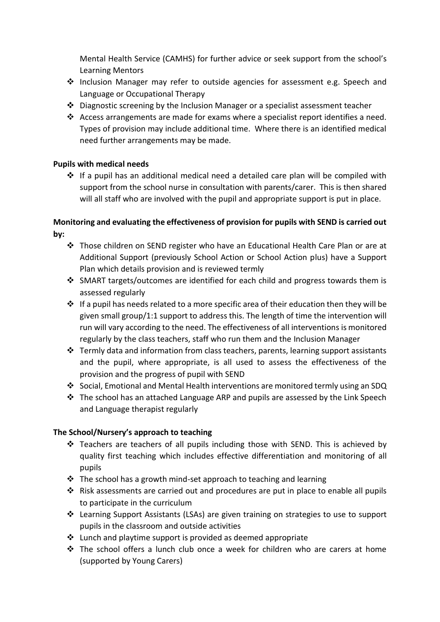Mental Health Service (CAMHS) for further advice or seek support from the school's Learning Mentors

- ❖ Inclusion Manager may refer to outside agencies for assessment e.g. Speech and Language or Occupational Therapy
- $\cdot \cdot$  Diagnostic screening by the Inclusion Manager or a specialist assessment teacher
- Access arrangements are made for exams where a specialist report identifies a need. Types of provision may include additional time. Where there is an identified medical need further arrangements may be made.

#### **Pupils with medical needs**

 $\div$  If a pupil has an additional medical need a detailed care plan will be compiled with support from the school nurse in consultation with parents/carer. This is then shared will all staff who are involved with the pupil and appropriate support is put in place.

### **Monitoring and evaluating the effectiveness of provision for pupils with SEND is carried out by:**

- Those children on SEND register who have an Educational Health Care Plan or are at Additional Support (previously School Action or School Action plus) have a Support Plan which details provision and is reviewed termly
- SMART targets/outcomes are identified for each child and progress towards them is assessed regularly
- $\cdot$  If a pupil has needs related to a more specific area of their education then they will be given small group/1:1 support to address this. The length of time the intervention will run will vary according to the need. The effectiveness of all interventions is monitored regularly by the class teachers, staff who run them and the Inclusion Manager
- $\cdot$  Termly data and information from class teachers, parents, learning support assistants and the pupil, where appropriate, is all used to assess the effectiveness of the provision and the progress of pupil with SEND
- Social, Emotional and Mental Health interventions are monitored termly using an SDQ
- $\div$  The school has an attached Language ARP and pupils are assessed by the Link Speech and Language therapist regularly

#### **The School/Nursery's approach to teaching**

- \* Teachers are teachers of all pupils including those with SEND. This is achieved by quality first teaching which includes effective differentiation and monitoring of all pupils
- $\cdot$  The school has a growth mind-set approach to teaching and learning
- $\cdot \cdot$  Risk assessments are carried out and procedures are put in place to enable all pupils to participate in the curriculum
- Learning Support Assistants (LSAs) are given training on strategies to use to support pupils in the classroom and outside activities
- $\cdot$  Lunch and playtime support is provided as deemed appropriate
- The school offers a lunch club once a week for children who are carers at home (supported by Young Carers)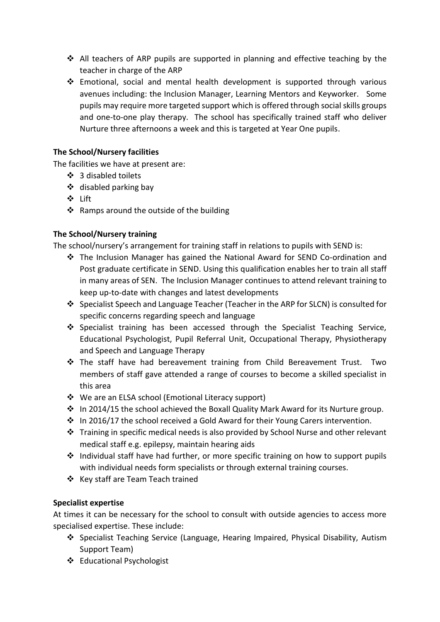- $\div$  All teachers of ARP pupils are supported in planning and effective teaching by the teacher in charge of the ARP
- Emotional, social and mental health development is supported through various avenues including: the Inclusion Manager, Learning Mentors and Keyworker. Some pupils may require more targeted support which is offered through social skills groups and one-to-one play therapy. The school has specifically trained staff who deliver Nurture three afternoons a week and this is targeted at Year One pupils.

#### **The School/Nursery facilities**

The facilities we have at present are:

- ❖ 3 disabled toilets
- $\div$  disabled parking bay
- Lift
- \* Ramps around the outside of the building

#### **The School/Nursery training**

The school/nursery's arrangement for training staff in relations to pupils with SEND is:

- The Inclusion Manager has gained the National Award for SEND Co-ordination and Post graduate certificate in SEND. Using this qualification enables her to train all staff in many areas of SEN. The Inclusion Manager continues to attend relevant training to keep up-to-date with changes and latest developments
- Specialist Speech and Language Teacher (Teacher in the ARP for SLCN) is consulted for specific concerns regarding speech and language
- Specialist training has been accessed through the Specialist Teaching Service, Educational Psychologist, Pupil Referral Unit, Occupational Therapy, Physiotherapy and Speech and Language Therapy
- The staff have had bereavement training from Child Bereavement Trust. Two members of staff gave attended a range of courses to become a skilled specialist in this area
- We are an ELSA school (Emotional Literacy support)
- $\cdot \cdot$  In 2014/15 the school achieved the Boxall Quality Mark Award for its Nurture group.
- $\cdot$  In 2016/17 the school received a Gold Award for their Young Carers intervention.
- $\cdot \cdot$  Training in specific medical needs is also provided by School Nurse and other relevant medical staff e.g. epilepsy, maintain hearing aids
- $\cdot$  Individual staff have had further, or more specific training on how to support pupils with individual needs form specialists or through external training courses.
- ❖ Key staff are Team Teach trained

#### **Specialist expertise**

At times it can be necessary for the school to consult with outside agencies to access more specialised expertise. These include:

- Specialist Teaching Service (Language, Hearing Impaired, Physical Disability, Autism Support Team)
- Educational Psychologist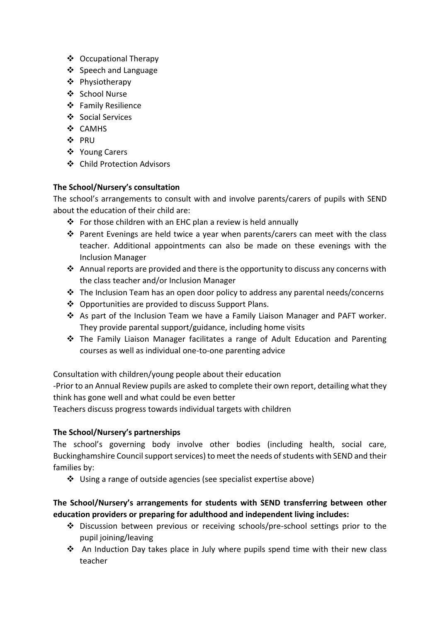- ❖ Occupational Therapy
- ❖ Speech and Language
- Physiotherapy
- School Nurse
- ❖ Family Resilience
- ❖ Social Services
- ❖ CAMHS
- ❖ PRU
- ❖ Young Carers
- Child Protection Advisors

### **The School/Nursery's consultation**

The school's arrangements to consult with and involve parents/carers of pupils with SEND about the education of their child are:

- $\div$  For those children with an EHC plan a review is held annually
- $\hat{P}$  Parent Evenings are held twice a year when parents/carers can meet with the class teacher. Additional appointments can also be made on these evenings with the Inclusion Manager
- $\triangle$  Annual reports are provided and there is the opportunity to discuss any concerns with the class teacher and/or Inclusion Manager
- $\div$  The Inclusion Team has an open door policy to address any parental needs/concerns
- Opportunities are provided to discuss Support Plans.
- \* As part of the Inclusion Team we have a Family Liaison Manager and PAFT worker. They provide parental support/guidance, including home visits
- The Family Liaison Manager facilitates a range of Adult Education and Parenting courses as well as individual one-to-one parenting advice

Consultation with children/young people about their education

-Prior to an Annual Review pupils are asked to complete their own report, detailing what they think has gone well and what could be even better

Teachers discuss progress towards individual targets with children

# **The School/Nursery's partnerships**

The school's governing body involve other bodies (including health, social care, Buckinghamshire Council support services) to meet the needs of students with SEND and their families by:

Using a range of outside agencies (see specialist expertise above)

# **The School/Nursery's arrangements for students with SEND transferring between other education providers or preparing for adulthood and independent living includes:**

- Discussion between previous or receiving schools/pre-school settings prior to the pupil joining/leaving
- An Induction Day takes place in July where pupils spend time with their new class teacher